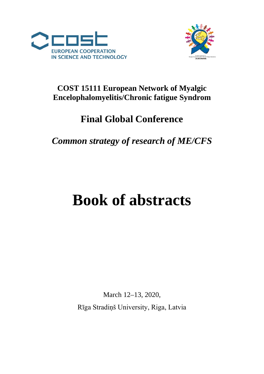



## **COST 15111 European Network of Myalgic Encelophalomyelitis/Chronic fatigue Syndrom**

## **Final Global Conference**

## *Common strategy of research of ME/CFS*

# **Book of abstracts**

March 12–13, 2020, Rīga Stradiņš University, Riga, Latvia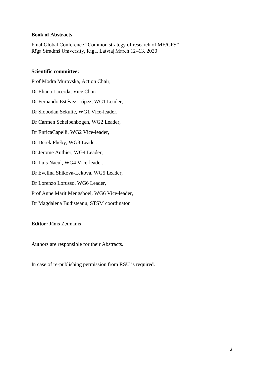#### **Book of Abstracts**

Final Global Conference "Common strategy of research of ME/CFS" Rīga Stradiņš University, Riga, Latvia| March 12–13, 2020

#### **Scientific committee:**

Prof Modra Murovska, Action Chair, Dr Eliana Lacerda, Vice Chair, Dr Fernando Estévez-López, WG1 Leader, Dr Slobodan Sekulic, WG1 Vice-leader, Dr Carmen Scheibenbogen, WG2 Leader, Dr EnricaCapelli, WG2 Vice-leader, Dr Derek Pheby, WG3 Leader, Dr Jerome Authier, WG4 Leader, Dr Luis Nacul, WG4 Vice-leader, Dr Evelina Shikova-Lekova, WG5 Leader, Dr Lorenzo Lorusso, WG6 Leader, Prof Anne Marit Mengshoel, WG6 Vice-leader, Dr Magdalena Budisteanu, STSM coordinator

**Editor:** Jānis Zeimanis

Authors are responsible for their Abstracts.

In case of re-publishing permission from RSU is required.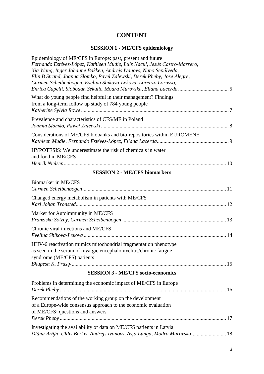## **CONTENT**

## **SESSION 1 - ME/CFS epidemiology**

| Epidemiology of ME/CFS in Europe: past, present and future<br>Fernando Estévez-López, Kathleen Mudie, Luis Nacul, Jesús Castro-Marrero,<br>Xia Wang, Inger Johanne Bakken, Andrejs Ivanovs, Nuno Sepúlveda,<br>Elin B Strand, Joanna Slomko, Pavel Zalewski, Derek Pheby, Jose Alegre,<br>Carmen Scheibenbogen, Evelina Shikova-Lekova, Lorenzo Lorusso, |
|----------------------------------------------------------------------------------------------------------------------------------------------------------------------------------------------------------------------------------------------------------------------------------------------------------------------------------------------------------|
| What do young people find helpful in their management? Findings<br>from a long-term follow up study of 784 young people                                                                                                                                                                                                                                  |
| Prevalence and characteristics of CFS/ME in Poland                                                                                                                                                                                                                                                                                                       |
| Considerations of ME/CFS biobanks and bio-repositories within EUROMENE                                                                                                                                                                                                                                                                                   |
| HYPOTESIS: We underestimate the risk of chemicals in water<br>and food in ME/CFS                                                                                                                                                                                                                                                                         |
| <b>SESSION 2 - ME/CFS biomarkers</b>                                                                                                                                                                                                                                                                                                                     |
| Biomarker in ME/CFS                                                                                                                                                                                                                                                                                                                                      |
| Changed energy metabolism in patients with ME/CFS                                                                                                                                                                                                                                                                                                        |
| Marker for Autoimmunity in ME/CFS                                                                                                                                                                                                                                                                                                                        |
| Chronic viral infections and ME/CFS                                                                                                                                                                                                                                                                                                                      |
| HHV-6 reactivation mimics mitochondrial fragmentation phenotype<br>as seen in the serum of myalgic encephalomyelitis/chronic fatigue<br>syndrome (ME/CFS) patients                                                                                                                                                                                       |
|                                                                                                                                                                                                                                                                                                                                                          |
| <b>SESSION 3 - ME/CFS socio-economics</b>                                                                                                                                                                                                                                                                                                                |
| Problems in determining the economic impact of ME/CFS in Europe                                                                                                                                                                                                                                                                                          |
| Recommendations of the working group on the development<br>of a Europe-wide consensus approach to the economic evaluation<br>of ME/CFS; questions and answers                                                                                                                                                                                            |
| Investigating the availability of data on ME/CFS patients in Latvia<br>Diāna Arāja, Uldis Berkis, Andrejs Ivanovs, Asja Lunga, Modra Murovska 18                                                                                                                                                                                                         |
|                                                                                                                                                                                                                                                                                                                                                          |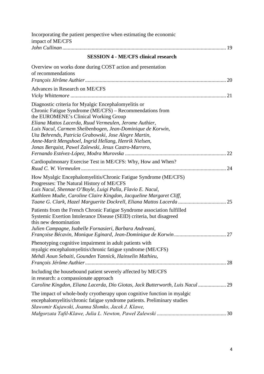| Incorporating the patient perspective when estimating the economic<br>impact of ME/CFS                                                                                                                                                                                                                                                                                                                                                                       |
|--------------------------------------------------------------------------------------------------------------------------------------------------------------------------------------------------------------------------------------------------------------------------------------------------------------------------------------------------------------------------------------------------------------------------------------------------------------|
|                                                                                                                                                                                                                                                                                                                                                                                                                                                              |
| <b>SESSION 4 - ME/CFS clinical research</b>                                                                                                                                                                                                                                                                                                                                                                                                                  |
| Overview on works done during COST action and presentation<br>of recommendations                                                                                                                                                                                                                                                                                                                                                                             |
| Advances in Research on ME/CFS                                                                                                                                                                                                                                                                                                                                                                                                                               |
| Diagnostic criteria for Myalgic Encephalomyelitis or<br>Chronic Fatigue Syndrome (ME/CFS) - Recommendations from<br>the EUROMENE's Clinical Working Group<br>Eliana Mattos Lacerda, Ruud Vermeulen, Jerome Authier,<br>Luis Nacul, Carmem Sheibenbogen, Jean-Dominique de Korwin,<br>Uta Behrends, Patricia Grabowski, Jose Alegre Martin,<br>Anne-Marit Mengshoel, Ingrid Hellang, Henrik Nielsen,<br>Jonas Berquist, Pawel Zalewski, Jesus Castro-Marrero, |
| Cardiopulmonary Exercise Test in ME/CFS: Why, How and When?                                                                                                                                                                                                                                                                                                                                                                                                  |
| How Myalgic Encephalomyelitis/Chronic Fatigue Syndrome (ME/CFS)<br>Progresses: The Natural History of ME/CFS<br>Luis Nacul, Shennae O'Boyle, Luigi Palla, Flavio E. Nacul,<br>Kathleen Mudie, Caroline Claire Kingdon, Jacqueline Margaret Cliff,<br>Taane G. Clark, Hazel Marguerite Dockrell, Eliana Mattos Lacerda  25                                                                                                                                    |
| Patients from the French Chronic Fatigue Syndrome association fulfilled<br>Systemic Exertion Intolerance Disease (SEID) criteria, but disagreed<br>this new denomination<br>Julien Campagne, Isabelle Fornasieri, Barbara Andreani,                                                                                                                                                                                                                          |
| Phenotyping cognitive impairment in adult patients with<br>myalgic encephalomyelitis/chronic fatigue syndrome (ME/CFS)<br>Mehdi Aoun Sebaiti, Gounden Yannick, Hainselin Mathieu,<br>28                                                                                                                                                                                                                                                                      |
| Including the housebound patient severely affected by ME/CFS<br>in research: a compassionate approach<br>Caroline Kingdon, Eliana Lacerda, Dio Giotas, Jack Butterworth, Luis Nacul  29                                                                                                                                                                                                                                                                      |
| The impact of whole-body cryotherapy upon cognitive function in myalgic<br>encephalomyelitis/chronic fatigue syndrome patients. Preliminary studies<br>Sławomir Kujawski, Joanna Słomko, Jacek J. Klawe,                                                                                                                                                                                                                                                     |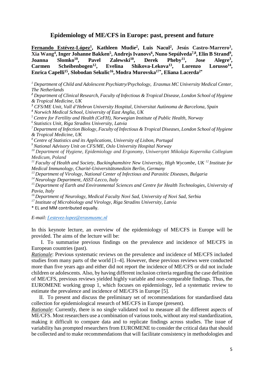#### **Epidemiology of ME/CFS in Europe: past, present and future**

<span id="page-4-0"></span>Fernando Estévez-López<sup>1</sup>, Kathleen Mudie<sup>2</sup>, Luis Nacul<sup>2</sup>, Jesús Castro-Marrero<sup>3</sup>, **Xia Wang<sup>4</sup>, Inger Johanne Bakken<sup>5</sup>, Andrejs Ivanovs<sup>6</sup>, Nuno Sepúlveda<sup>7,8</sup>, Elin B Strand<sup>9</sup>, Joanna Blomko<sup>10</sup>, Pavel Zalewski<sup>10</sup>, Derek Phebv<sup>11</sup>, Jose Alegre<sup>3</sup>,** Joanna Slomko<sup>10</sup>, Pavel Zalewski<sup>10</sup>, Derek Pheby<sup>11</sup>, Jose Alegre<sup>3</sup>, Carmen Scheibenbogen<sup>12</sup>, Evelina Shikova-Lekova<sup>13</sup>, Lorenzo Lorusso<sup>14</sup>, Carmen Scheibenbogen<sup>12</sup>, Evelina Shikova-Lekova<sup>13</sup>, Lorenzo Lorusso<sup>14</sup>, **Enrica Capelli15, Slobodan Sekulic16, Modra Murovska17\*, Eliana Lacerda2\***

*<sup>1</sup> Department of Child and Adolescent Psychiatry/Psychology, Erasmus MC University Medical Center, The Netherlands*

*<sup>2</sup> Department of Clinical Research, Faculty of Infectious & Tropical Disease, London School of Hygiene & Tropical Medicine, UK*

*<sup>3</sup> CFS/ME Unit, Vall d'Hebron University Hospital, Universitat Autònoma de Barcelona, Spain <sup>4</sup> Norwich Medical School, University of East Anglia, UK*

*5 Centre for Fertility and Health (CeFH), Norwegian Institute of Public Health, Norway* 

*6 Statistics Unit, Riga Stradins University, Latvia* 

*7 Department of Infection Biology, Faculty of Infectious & Tropical Diseases, London School of Hygiene & Tropical Medicine, UK* 

*8 Centre of Statistics and its Applications, University of Lisbon, Portugal*

*9 National Advisory Unit on CFS/ME, Oslo University Hospital Norway* 

*10 Department of Hygiene, Epidemiology and Ergonomy, Uniwersytet Mikolaja Kopernika Collegium Medicum, Poland*

*11 Faculty of Health and Society, Buckinghamshire New University, High Wycombe, UK 12 Institute for Medical Immunology, Charité-Universitätsmedizin Berlin, Germany* 

*13 Department of Virology, National Center of Infectious and Parasitic Diseases, Bulgaria* 

*14 Neurology Department, ASST-Lecco, Italy* 

*15 Department of Earth and Environmental Sciences and Centre for Health Technologies, University of Pavia, Italy* 

*16 Department of Neurology, Medical Faculty Novi Sad, University of Novi Sad, Serbia* 

*17 Institute of Microbiology and Virology, Riga Stradins University, Latvia*

\* EL and MM contributed equally.

*E-mail: f.estevez-lopez@erasmusmc.nl*

In this keynote lecture, an overview of the epidemiology of ME/CFS in Europe will be provided. The aims of the lecture will be:

I. To summarise previous findings on the prevalence and incidence of ME/CFS in European countries (past).

*Rationale*: Previous systematic reviews on the prevalence and incidence of ME/CFS included studies from many parts of the world [1–4]. However, these previous reviews were conducted more than five years ago and either did not report the incidence of ME/CFS or did not include children or adolescents. Also, by having different inclusion criteria regarding the case definition of ME/CFS, previous reviews yielded highly variable and non-comparable findings. Thus, the EUROMENE working group 1, which focuses on epidemiology, led a systematic review to estimate the prevalence and incidence of ME/CFS in Europe [5].

II. To present and discuss the preliminary set of recommendations for standardised data collection for epidemiological research of ME/CFS in Europe (present).

*Rationale*: Currently, there is no single validated tool to measure all the different aspects of ME/CFS. Most researchers use a combination of various tools, without any real standardization, making it difficult to compare data and to replicate findings across studies. The issue of variability has prompted researchers from EUROMENE to consider the critical data that should be collected and to make recommendations that will facilitate consistency in methodologies and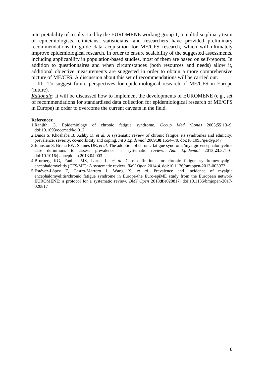interpretability of results. Led by the EUROMENE working group 1, a multidisciplinary team of epidemiologists, clinicians, statisticians, and researchers have provided preliminary recommendations to guide data acquisition for ME/CFS research, which will ultimately improve epidemiological research. In order to ensure scalability of the suggested assessments, including applicability in population-based studies, most of them are based on self-reports. In addition to questionnaires and when circumstances (both resources and needs) allow it, additional objective measurements are suggested in order to obtain a more comprehensive picture of ME/CFS. A discussion about this set of recommendations will be carried out.

III. To suggest future perspectives for epidemiological research of ME/CFS in Europe (future).

*Rationale*: It will be discussed how to implement the developments of EUROMENE (e.g., set of recommendations for standardised data collection for epidemiological research of ME/CFS in Europe) in order to overcome the current caveats in the field.

- **References:**<br>1. Ranjith G. Epidemiology of chronic fatigue syndrome. *Occup Med (Lond)* 2005;**55**:13–9. doi:10.1093/occmed/kqi012
- 2.Dinos S, Khoshaba B, Ashby D, *et al.* A systematic review of chronic fatigue, its syndromes and ethnicity: prevalence, severity, co-morbidity and coping. *Int J Epidemiol* 2009;**38**:1554–70. doi:10.1093/ije/dyp147
- 3.Johnston S, Brenu EW, Staines DR, *et al.* The adoption of chronic fatigue syndrome/myalgic encephalomyelitis case definitions to assess prevalence: a systematic review. *Ann Epidemiol* 2013;**23**:371–6. doi:10.1016/j.annepidem.2013.04.003
- 4.Brurberg KG, Fønhus MS, Larun L, *et al.* Case definitions for chronic fatigue syndrome/myalgic encephalomyelitis (CFS/ME): A systematic review. *BMJ Open* 2014;**4**. doi:10.1136/bmjopen-2013-003973
- 5.Estévez-López F, Castro-Marrero J, Wang X, *et al.* Prevalence and incidence of myalgic encephalomyelitis/chronic fatigue syndrome in Europe-the Euro-epiME study from the European network EUROMENE: a protocol for a systematic review. *BMJ Open* 2018;**8**:e020817. doi:10.1136/bmjopen-2017- 020817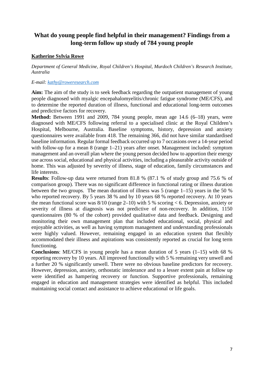## <span id="page-6-0"></span>**What do young people find helpful in their management? Findings from a long-term follow up study of 784 young people**

#### **Katherine Sylvia Rowe**

*Department of General Medicine, Royal Children's Hospital, Murdoch Children's Research Institute, Australia*

#### *E-mail: [kathy@roweresearch.com](javascript:%20internSendMess()*

**Aim:** The aim of the study is to seek feedback regarding the outpatient management of young people diagnosed with myalgic encepahalomyelitis/chronic fatigue syndrome (ME/CFS), and to determine the reported duration of illness, functional and educational long-term outcomes and predictive factors for recovery.

**Method:** Between 1991 and 2009, 784 young people, mean age 14.6 (6–18) years, were diagnosed with ME/CFS following referral to a specialised clinic at the Royal Children's Hospital, Melbourne, Australia. Baseline symptoms, history, depression and anxiety questionnaires were available from 418. The remaining 366, did not have similar standardised baseline information. Regular formal feedback occurred up to 7 occasions over a 14-year period with follow-up for a mean 8 (range 1–21) years after onset. Management included: symptom management and an overall plan where the young person decided how to apportion their energy use across social, educational and physical activities, including a pleasurable activity outside of home. This was adjusted by severity of illness, stage of education, family circumstances and life interests.

**Results**: Follow-up data were returned from 81.8 % (87.1 % of study group and 75.6 % of comparison group). There was no significant difference in functional rating or illness duration between the two groups. The mean duration of illness was 5 (range 1–15) years in the 50 % who reported recovery. By 5 years 38 % and by 10 years 68 % reported recovery. At 10 years the mean functional score was  $8/10$  (range 2–10) with 5 % scoring  $<$  6. Depression, anxiety or severity of illness at diagnosis was not predictive of non-recovery. In addition, 1150 questionnaires (80 % of the cohort) provided qualitative data and feedback. Designing and monitoring their own management plan that included educational, social, physical and enjoyable activities, as well as having symptom management and understanding professionals were highly valued. However, remaining engaged in an education system that flexibly accommodated their illness and aspirations was consistently reported as crucial for long term functioning.

**Conclusions**: ME/CFS in young people has a mean duration of 5 years (1–15) with 68 % reporting recovery by 10 years. All improved functionally with 5 % remaining very unwell and a further 20 % significantly unwell. There were no obvious baseline predictors for recovery. However, depression, anxiety, orthostatic intolerance and to a lesser extent pain at follow up were identified as hampering recovery or function. Supportive professionals, remaining engaged in education and management strategies were identified as helpful. This included maintaining social contact and assistance to achieve educational or life goals.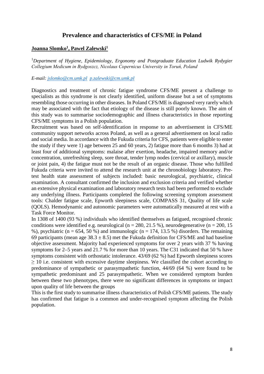## **Prevalence and characteristics of CFS/ME in Poland**

#### <span id="page-7-0"></span>**Joanna Slomko1, Pawel Zalewski1**

<sup>1</sup>Department of Hygiene, Epidemiology, Ergonomy and Postgraduate Education Ludwik Rydygier *Collegium Medicum in Bydgoszcz, Nicolaus Copernicus University in Toruń, Poland*

#### *E-mail: [jslomko@cm.umk.pl](mailto:jslomko@cm.umk.pl) [p.zalewski@cm.umk.pl](mailto:p.zalewski@cm.umk.pl)*

Diagnostics and treatment of chronic fatigue syndrome CFS/ME present a challenge to specialists as this syndrome is not clearly identified, uniform disease but a set of symptoms resembling those occurring in other diseases. In Poland CFS/ME is diagnosed very rarely which may be associated with the fact that etiology of the disease is still poorly known. The aim of this study was to summarise sociodemographic and illness characteristics in those reporting CFS/ME symptoms in a Polish population.

Recruitment was based on self-identification in response to an advertisement in CFS/ME community support networks across Poland, as well as a general advertisement on local radio and social media. In accordance with the Fukuda criteria for CFS, patients were eligible to enter the study if they were 1) age between 25 and 60 years, 2) fatigue more than 6 months 3) had at least four of additional symptoms: malaise after exertion, headache, impaired memory and/or concentration, unrefreshing sleep, sore throat, tender lymp nodes (cervical or axillary), muscle or joint pain, 4) the fatigue must not be the result of an organic disease. Those who fulfilled Fukuda criteria were invited to attend the research unit at the chronobiology laboratory. Pretest health state assessment of subjects included: basic neurological, psychiatric, clinical examination. A consultant confirmed the inclusion and exclusion criteria and verified whether an extensive physical examination and laboratory research tests had been performed to exclude any underlying illness. Participants completed the following screening symptom assessment tools: Chalder fatigue scale, Epworth sleepiness scale, COMPASS 31, Quality of life scale (QOLS). Hemodynamic and autonomic parameters were automatically measured at rest with a Task Force Monitor.

In 1308 of 1400 (93 %) individuals who identified themselves as fatigued, recognised chronic conditions were identified e.g. neurological (n = 280, 21.5 %), neurodegenerative (n = 200, 15 %), psychiatric (n = 654, 50 %) and immunologic (n = 174, 13.5 %) disorders. The remaining 69 participants (mean age  $38.3 \pm 8.5$ ) met the Fukuda definition for CFS/ME and had baseline objective assessment. Majority had experienced symptoms for over 2 years with 37 % having symptoms for 2–5 years and 21.7 % for more than 10 years. The C31 indicated that 50 % have symptoms consistent with orthostatic intolerance. 43/69 (62 %) had Epworth sleepiness scores  $\geq 10$  i.e. consistent with excessive daytime sleepiness. We classified the cohort according to predominance of sympathetic or parasympathetic function, 44/69 (64 %) were found to be sympathetic predominant and 25 parasympathetic. When we considered symptom burden between these two phenotypes, there were no significant differences in symptoms or impact upon quality of life between the groups

This is the first study to summarise illness characteristics of Polish CFS/ME patients. The study has confirmed that fatigue is a common and under-recognised symptom affecting the Polish population.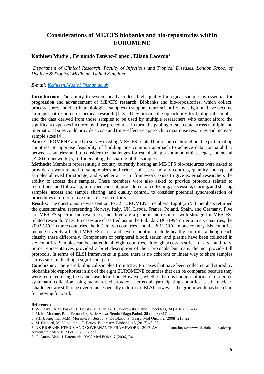## <span id="page-8-0"></span>**Considerations of ME/CFS biobanks and bio-repositories within EUROMENE**

#### **Kathleen Mudie1, Fernando Estévez-López1, Eliana Lacerda1**

<sup>1</sup>Department of Clinical Research, Faculty of Infectious and Tropical Diseases, London School of *Hygiene & Tropical Medicine, United Kingdom*

#### *E-mail: [Kathleen.Mudie1@lshtm.ac.uk](mailto:Kathleen.Mudie1@lshtm.ac.uk)*

**Introduction:** The ability to systematically collect high quality biological samples is essential for progression and advancement of ME/CFS research. Biobanks and bio-repositories, which collect, process, store, and distribute biological samples to support future scientific investigation, have become an important resource in medical research [1–3]. They provide the opportunity for biological samples and the data derived from those samples to be used by multiple researchers who cannot afford the significant expenses incurred by those procedures. In turn, the pooling of such data across multiple and international sites could provide a cost- and time- effective approach to maximise resources and increase sample sizes [4].

**Aim:** EUROMENE aimed to survey existing ME/CFS-related bio-resource throughout the participating countries; to appraise feasibility of building one common approach to achieve data comparability between countries; and to consider the challenges for establishing a common ethics, legal, and social (ELSI) framework [5; 6] for enabling the sharing of the samples.

**Methods:** Members representing a country currently hosting an ME/CFS bio-resources were asked to provide answers related to sample sizes and criteria of cases and any controls, quantity and type of samples allowed for storage, and whether an ELSI framework exists to give external researchers the ability to access their samples. These members were also asked to provide protocols related to recruitment and follow-up; informed consent; procedures for collecting, processing, storing, and sharing samples; access and sample sharing; and quality control, to consider potential synchronisation of procedures in order to maximise research efforts.

**Results:** The questionnaire was sent out to 32 EUROMENE members. Eight (25 %) members returned the questionnaire, representing Norway, Italy, UK, Latvia, France, Poland, Spain, and Germany. Five are ME/CFS-specific bio-resources, and three are a generic bio-resource with storage for ME/CFSrelated research. ME/CFS cases are classified using the Fukuda CDC-1994 criteria in six countries, the 2003 CCC in three countries, the ICC in two countries, and the 2011 CCC in one country. Six countries include severely affected ME/CFS cases, and seven countries include healthy controls, although each classify these differently. Components of peripheral blood, serum, and plasma have been collected in six countries. Samples can be shared in all eight countries, although access is strict in Latvia and Italy. Some representatives provided a brief description of their protocols but many did not provide full protocols. In terms of ELSI frameworks in place, there is no coherent or linear way to share samples across sites, indicating a significant gap.

**Conclusion:** There are biological samples from ME/CFS cases that have been collected and stored by biobanks/bio-repositories in six of the eight EUROMENE countries that can be compared because they were recruited using the same case definition. However, whether there is enough information to guide systematic collection using standardised protocols across all participating countries is still unclear. Challenges are still to be overcome, especially in terms of ELSI; however, the groundwork has been laid for moving forward.

#### **References:**

- 1. W. Paskal, A.M. Paskal, T. Dębski, M. Gryziak, J. Jaworowski, Pathol Oncol Res, **24** (2018) 771–85.
- 2. M. M. Morente, P. L. Fernández, E. de Alava, Semin Diagn Pathol, **25** (2008) 317–22.
- 3. P.H.J. Riegman, M.M. Morente, F. Betsou, P. De Blasio, P. Geary, Mol Oncol, **2** (2008) 213–22.
- 4. M. Ciaburri, M. Napolitano, E. Bravo, Biopreserv Biobank, **15** (2017) 46–56.

5. UK BIOBANK ETHICS AND GOVERNANCE FRAMEWORK, 2017. Available from: https://www.ukbiobank.ac.uk/wpcontent/uploads/2011/05/EGF20082.pdf

6. C. Auray-Blais, J. Patenaude, BMC Med Ethics, **7** (2006) E4.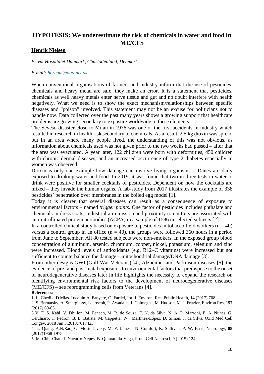## <span id="page-9-0"></span>**HYPOTESIS: We underestimate the risk of chemicals in water and food in ME/CFS**

#### **Henrik Nielsen**

*Privat Hospitalet Danmark, Charlottenlund, Denmark*

#### *E-mail: [hnreum@dadlnet.dk](mailto:hnreum@dadlnet.dk)*

When conventional organisations of farmers and industry inform that the use of pesticides, chemicals and heavy metal are safe, they make an error. It is a statement that pesticides, chemicals as well heavy metals enter nerve tissue and gut and no doubt interfere with health negatively. What we need is to show the exact mechanism/relationships between specific diseases and "poison" involved. This statement may not be an excuse for politicians not to handle now. Data collected over the past many years shows a growing support that healthcare problems are growing secondary to exposure worldwide to these elements.

The Seveso disaster close to Milan in 1976 was one of the first accidents in industry which resulted in research in health risk secondary to chemicals. As a result, 2.5 kg dioxin was spread out in an area where many people lived, the understanding of this was not obvious, as information about chemicals used was not given prior to the two weeks had passed – after that the area was evacuated. A year later, 122 children were born with deformities, 450 children with chronic dermal diseases, and an increased occurrence of type 2 diabetes especially in women was observed.

Dioxin is only one example how damage can involve living organisms – Danes are daily exposed to drinking water and food. In 2019, it was found that two in three tests in water to drink were positive for smaller cocktails of pesticides. Dependent on how the cocktails are mixed – they invade the human organs. A lab-study from 2017 illustrates the example of 338 pesticides' penetration over membranes in the boiled egg model [1].

Today it is clearer that several diseases can result as a consequence of exposure to environmental factors – named *trigger points*. One factor of pesticides includes phthalate and chemicals in dress coats. Industrial air emission and proximity to emitters are associated with anti-citrullinated protein antibodies (ACPA) in a sample of 1586 unselected subjects [2].

In a controlled clinical study based on exposure to pesticides in tobacco field workers  $(n = 40)$ versus a control group in an office  $(n = 40)$ , the groups were followed 360 hours in a period from June to September. All 80 tested subjects were non-smokers. In the exposed group blood concentration of aluminum, arsenic, chromium, copper, nickel, potassium, selenium and zinc were increased. Blood levels of antioxidants (e.g. B12–C vitamins) were increased but not sufficient to counterbalance the damage – mitochondrial damage/DNA damage [3].

From other designs GWI (Gulf War Veterans) [4], Alzheimer and Parkinson diseases [5], the evidence of pre- and post- natal exposures to environmental factors that predispose to the onset of neurodegenerative diseases later in life highlights the necessity to expand the research on identifying environmental risk factors to the development of neurodegenerative diseases (ME/CFS) – see reprogramming cells from Veterans [4].

#### **References:**

1. L. Chedik, D.Mias-Lucquin A. Bruyere, O. Fardel, Int. J. Environ. Res. Public Health, **14** (2017) 708.

2. S. Bernatsky, A. Smargiassy, L. Joseph, P. Awadalla, I. Colmegna, M. Hudson, M. J. Fritzler, Environ Res, **157** (2017) 60-63.

3 V. F. S. Kahl, V. Dhillon, M. Fenech, M. R. de Souza, F. N. da Silva, N. A. P. Marroni, E. A. Nunes, G. Cerchiaro, T. Pedron, B. L. Batista, M. Cappetta, W. Mártinez-López, D. Simon, J. da Silva, Oxid Med Cell Longev, 2018 Jun 3;2018:7017423.

4. L. Qiang, A.N.Rao, G. Mostoslavsky, M. F. James, N. Comfort, K. Sullivan, P. W. Baas, Neurology, **88**  (2017)1968-1975.

5. M. Chin-Chan, J. Navarro-Yepes, B. Quintanilla-Vega, Front Cell Neurosci, **9** (2015) 124.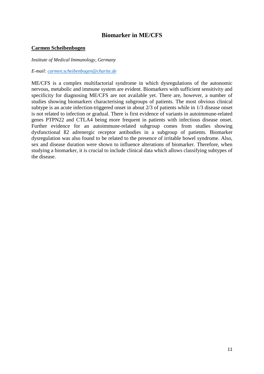## **Biomarker in ME/CFS**

#### <span id="page-10-0"></span>**Carmen Scheibenbogen**

#### *Institute of Medical Immunology, Germany*

#### *E-mail: [carmen.scheibenbogen@charite.de](mailto:carmen.scheibenbogen@charite.de)*

ME/CFS is a complex multifactorial syndrome in which dysregulations of the autonomic nervous, metabolic and immune system are evident. Biomarkers with sufficient sensitivity and specificity for diagnosing ME/CFS are not available yet. There are, however, a number of studies showing biomarkers characterising subgroups of patients. The most obvious clinical subtype is an acute infection-triggered onset in about 2/3 of patients while in 1/3 disease onset is not related to infection or gradual. There is first evidence of variants in autoimmune-related genes PTPN22 and CTLA4 being more frequent in patients with infectious disease onset. Further evidence for an autoimmune-related subgroup comes from studies showing dysfunctional ß2 adrenergic receptor antibodies in a subgroup of patients. Biomarker dysregulation was also found to be related to the presence of irritable bowel syndrome. Also, sex and disease duration were shown to influence alterations of biomarker. Therefore, when studying a biomarker, it is crucial to include clinical data which allows classifying subtypes of the disease.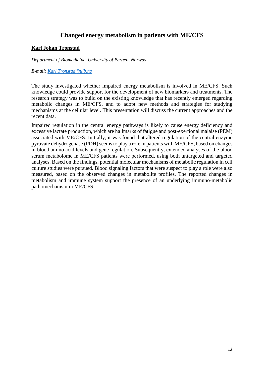## **Changed energy metabolism in patients with ME/CFS**

#### <span id="page-11-0"></span>**Karl Johan Tronstad**

*Department of Biomedicine, University of Bergen, Norway*

#### *E-mail: [Karl.Tronstad@uib.no](mailto:Karl.Tronstad@uib.no)*

The study investigated whether impaired energy metabolism is involved in ME/CFS. Such knowledge could provide support for the development of new biomarkers and treatments. The research strategy was to build on the existing knowledge that has recently emerged regarding metabolic changes in ME/CFS, and to adopt new methods and strategies for studying mechanisms at the cellular level. This presentation will discuss the current approaches and the recent data.

Impaired regulation in the central energy pathways is likely to cause energy deficiency and excessive lactate production, which are hallmarks of fatigue and post-exertional malaise (PEM) associated with ME/CFS. Initially, it was found that altered regulation of the central enzyme pyruvate dehydrogenase (PDH) seems to play a role in patients with ME/CFS, based on changes in blood amino acid levels and gene regulation. Subsequently, extended analyses of the blood serum metabolome in ME/CFS patients were performed, using both untargeted and targeted analyses. Based on the findings, potential molecular mechanisms of metabolic regulation in cell culture studies were pursued. Blood signaling factors that were suspect to play a role were also measured, based on the observed changes in metabolite profiles. The reported changes in metabolism and immune system support the presence of an underlying immuno-metabolic pathomechanism in ME/CFS.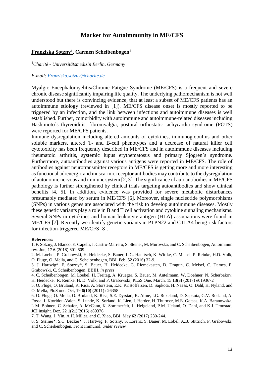#### **Marker for Autoimmunity in ME/CFS**

#### <span id="page-12-0"></span>**Franziska Sotzny1, Carmen Scheibenbogen1**

1 *Charité - Universitätsmedizin Berlin, Germany*

#### *E-mail: [Franziska.sotzny@charite.de](mailto:Franziska.sotzny@charite.de)*

Myalgic Encephalomyelitis/Chronic Fatigue Syndrome (ME/CFS) is a frequent and severe chronic disease significantly impairing life quality. The underlying pathomechanism is not well understood but there is convincing evidence, that at least a subset of ME/CFS patients has an autoimmune etiology (reviewed in [1]). ME/CFS disease onset is mostly reported to be triggered by an infection, and the link between infections and autoimmune diseases is well established. Further, comorbidity with autoimmune and autoimmune-related diseases including Hashimoto´s thyreoiditis, fibromyalgia, postural orthostatic tachycardia syndrome (POTS) were reported for ME/CFS patients.

Immune dysregulation including altered amounts of cytokines, immunoglobulins and other soluble markers, altered T- and B-cell phenotypes and a decrease of natural killer cell cytotoxicity has been frequently described in ME/CFS and in autoimmune diseases including rheumatoid arthritis, systemic lupus erythematosus and primary Sjögren's syndrome. Furthermore, autoantibodies against various antigens were reported in ME/CFS. The role of antibodies against neurotransmitter receptors in ME/CFS is getting more and more interesting as functional adrenergic and muscarinic receptor antibodies may contribute to the dysregulation of autonomic nervous and immune system [2, 3]. The significance of autoantibodies in ME/CFS pathology is further strengthened by clinical trials targeting autoantibodies and show clinical benefits [4, 5]. In addition, evidence was provided for severe metabolic disturbances presumably mediated by serum in ME/CFS [6]. Moreover, single nucleotide polymorphisms (SNPs) in various genes are associated with the risk to develop autoimmune diseases. Mostly these genetic variants play a role in B and T cell activation and cytokine signaling mechanisms. Several SNPs in cytokines and human leukocyte antigen (HLA) associations were found in ME/CFS [7]. Recently we identify genetic variants in PTPN22 and CTLA4 being risk factors for infection-triggered ME/CFS [8].

#### **References:**

1. F. Sotzny, J. Blanco, E. Capelli, J. Castro-Marrero, S. Steiner, M. Murovska, and C. Scheibenbogen, Autoimmun rev. Jun, 17 **6** (2018) 601-609.

2. M. Loebel, P. Grabowski, H. Heidecke, S. Bauer, L.G. Hanitsch, K. Wittke, C. Meisel, P. Reinke, H.D. Volk, O. Fluge, O. Mella, and C. Scheibenbogen, BBI. Feb, **52** (2016) 32-9.

3. J. Hartwig\*, F. Sotzny\*, S. Bauer, H. Heidecke, G. Riemekasten, D. Dragun, C. Meisel, C. Dames, P. Grabowski, C. Scheibenbogen, BBIH. *in press*

4. C. Scheibenbogen, M. Loebel, H. Freitag, A. Krueger, S. Bauer, M. Antelmann, W. Doehner, N. Scherbakov, H. Heidecke, R. Reinke, H. D. Volk, and P. Grabowski, PLoS One. March, 15 **13(3)** (2017) e0193672

5. O. Fluge, O. Bruland, K. Risa, A. Storstein, E.K. Kristoffersen, D. Sapkota, H. Naess, O. Dahl, H. Nyland, and O. Mella, PloS one. Oct, 19 **6(10)** (2011) e26358.

6. O. Fluge, O. Mella, O. Bruland, K. Risa, S.E. Dyrstad, K. Alme, I.G. Rekeland, D. Sapkota, G.V. Rosland, A. Fossa, I. Ktoridou-Valen, S. Lunde, K. Sorland, K. Lien, I. Herder, H. Thurmer, M.E. Gotaas, K.A. Baranowska, L.M. Bohnen, C. Schafer, A. McCann, K. Sommerfelt, L. Helgeland, P.M. Ueland, O. Dahl, and K.J. Tronstad, JCI insight. Dez, 22 **1(21)**(2016) e89376.

7. T. Wang, J. Yin, A.H. Miller, and C. Xiao, BBI. May **62** (2017) 230-244.

8. S. Steiner\*, S.C. Becker\*, J. Hartwig, F. Sotzny, S. Lorenz, S. Bauer, M. Löbel, A.B. Stittrich, P. Grabowski, and C. Scheibenbogen, Front Immunol. *under review*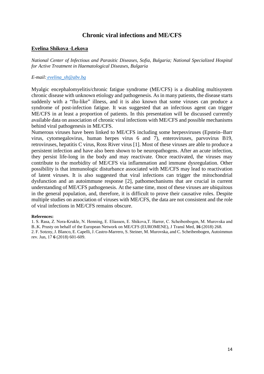## **Chronic viral infections and ME/CFS**

#### <span id="page-13-0"></span>**Evelina Shikova -Lekova**

*National Center of Infectious and Parasitic Diseases, Sofia, Bulgaria; National Specialized Hospital for Active Treatment in Haematological Diseases, Bulgaria*

#### *E-mail: [evelina\\_sh@abv.bg](mailto:evelina_sh@abv.bg)*

Myalgic encephalomyelitis/chronic fatigue syndrome (ME/CFS) is a disabling multisystem chronic disease with unknown etiology and pathogenesis. As in many patients, the disease starts suddenly with a "flu-like" illness, and it is also known that some viruses can produce a syndrome of post-infection fatigue. It was suggested that an infectious agent can trigger ME/CFS in at least a proportion of patients. In this presentation will be discussed currently available data on association of chronic viral infections with ME/CFS and possible mechanisms behind viral pathogenesis in ME/CFS.

Numerous viruses have been linked to ME/CFS including some herpesviruses (Epstein–Barr virus, cytomegalovirus, human herpes virus 6 and 7), enteroviruses, parvovirus B19, retroviruses, hepatitis C virus, Ross River virus [1]. Most of these viruses are able to produce a persistent infection and have also been shown to be neuropathogens. After an acute infection, they persist life-long in the body and may reactivate. Once reactivated, the viruses may contribute to the morbidity of ME/CFS via inflammation and immune dysregulation. Other possibility is that immunologic disturbance associated with ME/CFS may lead to reactivation of latent viruses. It is also suggested that viral infections can trigger the mitochondrial dysfunction and an autoimmune response [2], pathomechanisms that are crucial in current understanding of ME/CFS pathogenesis. At the same time, most of these viruses are ubiquitous in the general population, and, therefore, it is difficult to prove their causative roles. Despite multiple studies on association of viruses with ME/CFS, the data are not consistent and the role of viral infections in ME/CFS remains obscure.

#### **References:**

1. S. Rasa, Z. Nora‑Krukle, N. Henning, E. Eliassen, E. Shikova,T. Harrer, C. Scheibenbogen, M. Murovska and B..K. Prusty on behalf of the European Network on ME/CFS (EUROMENE), J Transl Med, **16** (2018) 268. 2. F. Sotzny, J. Blanco, E. Capelli, J. Castro-Marrero, S. Steiner, M. Murovska, and C. Scheibenbogen, Autoimmun rev. Jun, 17 **6** (2018) 601-609.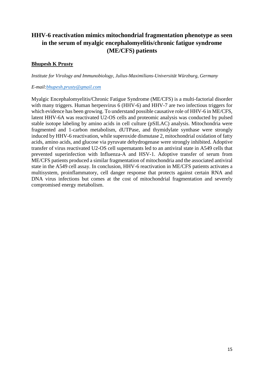## <span id="page-14-0"></span>**HHV-6 reactivation mimics mitochondrial fragmentation phenotype as seen in the serum of myalgic encephalomyelitis/chronic fatigue syndrome (ME/CFS) patients**

### **Bhupesh K Prusty**

*Institute for Virology and Immunobiology, Julius-Maximilians-Universität Würzburg, Germany*

#### *E-mail:bhupesh.prusty@gmail.com*

Myalgic Encephalomyelitis/Chronic Fatigue Syndrome (ME/CFS) is a multi-factorial disorder with many triggers. Human herpesvirus 6 (HHV-6) and HHV-7 are two infectious triggers for which evidence has been growing. To understand possible causative role of HHV-6 in ME/CFS, latent HHV-6A was reactivated U2-OS cells and proteomic analysis was conducted by pulsed stable isotope labeling by amino acids in cell culture (pSILAC) analysis. Mitochondria were fragmented and 1-carbon metabolism, dUTPase, and thymidylate synthase were strongly induced by HHV-6 reactivation, while superoxide dismutase 2, mitochondrial oxidation of fatty acids, amino acids, and glucose via pyruvate dehydrogenase were strongly inhibited. Adoptive transfer of virus reactivated U2-OS cell supernatants led to an antiviral state in A549 cells that prevented superinfection with Influenza-A and HSV-1. Adoptive transfer of serum from ME/CFS patients produced a similar fragmentation of mitochondria and the associated antiviral state in the A549 cell assay. In conclusion, HHV-6 reactivation in ME/CFS patients activates a multisystem, proinflammatory, cell danger response that protects against certain RNA and DNA virus infections but comes at the cost of mitochondrial fragmentation and severely compromised energy metabolism.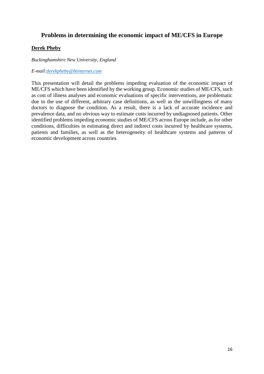## <span id="page-15-0"></span>**Problems in determining the economic impact of ME/CFS in Europe**

#### **Derek Pheby**

*Buckinghamshire New University, England*

*E-mail[:derekpheby@btinternet.com](mailto:derekpheby@btinternet.com)*

This presentation will detail the problems impeding evaluation of the economic impact of ME/CFS which have been identified by the working group. Economic studies of ME/CFS, such as cost of illness analyses and economic evaluations of specific interventions, are problematic due to the use of different, arbitrary case definitions, as well as the unwillingness of many doctors to diagnose the condition. As a result, there is a lack of accurate incidence and prevalence data, and no obvious way to estimate costs incurred by undiagnosed patients. Other identified problems impeding economic studies of ME/CFS across Europe include, as for other conditions, difficulties in estimating direct and indirect costs incurred by healthcare systems, patients and families, as well as the heterogeneity of healthcare systems and patterns of economic development across countries.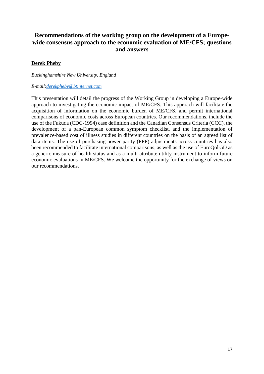## <span id="page-16-0"></span>**Recommendations of the working group on the development of a Europewide consensus approach to the economic evaluation of ME/CFS; questions and answers**

#### **Derek Pheby**

*Buckinghamshire New University, England*

#### *E-mail[:derekpheby@btinternet.com](mailto:derekpheby@btinternet.com)*

This presentation will detail the progress of the Working Group in developing a Europe-wide approach to investigating the economic impact of ME/CFS. This approach will facilitate the acquisition of information on the economic burden of ME/CFS, and permit international comparisons of economic costs across European countries. Our recommendations. include the use of the Fukuda (CDC-1994) case definition and the Canadian Consensus Criteria (CCC), the development of a pan-European common symptom checklist, and the implementation of prevalence-based cost of illness studies in different countries on the basis of an agreed list of data items. The use of purchasing power parity (PPP) adjustments across countries has also been recommended to facilitate international comparisons, as well as the use of EuroQol-5D as a generic measure of health status and as a multi-attribute utility instrument to inform future economic evaluations in ME/CFS. We welcome the opportunity for the exchange of views on our recommendations.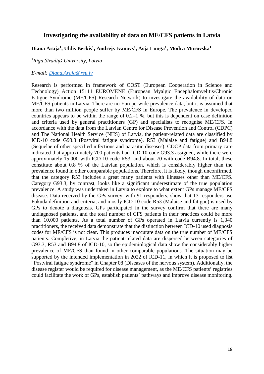#### <span id="page-17-0"></span>**Investigating the availability of data on ME/CFS patients in Latvia**

#### **Diana Araja1, Uldis Berkis1, Andrejs Ivanovs1, Asja Lunga1, Modra Murovska1**

#### 1 *Rīga Stradiņš University, Latvia*

#### *E-mail: [Diana.Araja@rsu.lv](mailto:Diana.Araja@rsu.lv)*

Research is performed in framework of COST (European Cooperation in Science and Technology) Action 15111 EUROMENE (European Myalgic Encephalomyelitis/Chronic Fatigue Syndrome (ME/CFS) Research Network) to investigate the availability of data on ME/CFS patients in Latvia. There are no Europe-wide prevalence data, but it is assumed that more than two million people suffer by ME/CFS in Europe. The prevalence in developed countries appears to be within the range of 0.2–1 %, but this is dependent on case definition and criteria used by general practitioners (GP) and specialists to recognise ME/CFS. In accordance with the data from the Latvian Centre for Disease Prevention and Control (CDPC) and The National Health Service (NHS) of Latvia, the patient-related data are classified by ICD-10 code G93.3 (Postviral fatigue syndrome), R53 (Malaise and fatigue) and B94.8 (Sequelae of other specified infectious and parasitic diseases). CDCP data from primary care indicated that approximately 700 patients had ICD-10 code G93.3 assigned, while there were approximately 15,000 with ICD-10 code R53, and about 70 with code B94.8. In total*,* these constitute about 0.8 % of the Latvian population, which is considerably higher than the prevalence found in other comparable populations. Therefore, it is likely, though unconfirmed, that the category R53 includes a great many patients with illnesses other than ME/CFS. Category G93.3, by contrast, looks like a significant underestimate of the true population prevalence. A study was undertaken in Latvia to explore to what extent GPs manage ME/CFS disease. Data received by the GPs survey, with 91 responders, show that 13 responders use Fukuda definition and criteria, and mostly ICD-10 code R53 (Malaise and fatigue) is used by GPs to denote a diagnosis. GPs participated in the survey confirm that there are many undiagnosed patients, and the total number of CFS patients in their practices could be more than 10,000 patients. As a total number of GPs operated in Latvia currently is 1,340 practitioners, the received data demonstrate that the distinction between ICD-10 used diagnosis codes for ME/CFS is not clear. This produces inaccurate data on the true number of ME/CFS patients. Completive, in Latvia the patient-related data are dispersed between categories of G93.3, R53 and B94.8 of ICD-10, so the epidemiological data show the considerably higher prevalence of ME/CFS than found in other comparable populations. The situation may be supported by the intended implementation in 2022 of ICD-11, in which it is proposed to list "Postviral fatigue syndrome" in Chapter 08 (Diseases of the nervous system). Additionally, the disease register would be required for disease management, as the ME/CFS patients' registries could facilitate the work of GPs, establish patients' pathways and improve disease monitoring.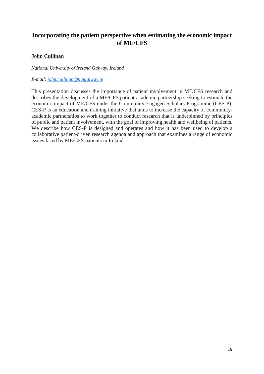## <span id="page-18-0"></span>**Incorporating the patient perspective when estimating the economic impact of ME/CFS**

#### **John Cullinan**

*National University of Ireland Galway, Ireland*

*E-mail: john.cullinan@nuigalway.ie*

This presentation discusses the importance of patient involvement in ME/CFS research and describes the development of a ME/CFS patient-academic partnership seeking to estimate the economic impact of ME/CFS under the Community Engaged Scholars Programme (CES-P). CES-P is an education and training initiative that aims to increase the capacity of communityacademic partnerships to work together to conduct research that is underpinned by principles of public and patient involvement, with the goal of improving health and wellbeing of patients. We describe how CES-P is designed and operates and how it has been used to develop a collaborative patient-driven research agenda and approach that examines a range of economic issues faced by ME/CFS patients in Ireland.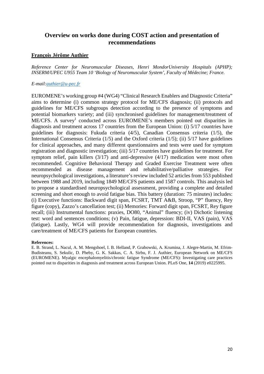## <span id="page-19-0"></span>**Overview on works done during COST action and presentation of recommendations**

#### **François Jérôme Authier**

*Reference Center for Neuromuscular Diseases, Henri MondorUniversity Hospitals (APHP); INSERM/UPEC U955 Team 10 'Biology of Neuromuscular System', Faculty of Médecine; France.*

#### *E-mail:authier@u-pec.fr*

EUROMENE's working group #4 (WG4) "Clinical Research Enablers and Diagnostic Criteria" aims to determine (i) common strategy protocol for ME/CFS diagnosis; (ii) protocols and guidelines for ME/CFS subgroups detection according to the presence of symptoms and potential biomarkers variety; and (iii) synchronised guidelines for management/treatment of  $ME/CFS$ . A survey<sup>1</sup> conducted across EUROMENE's members pointed out disparities in diagnosis and treatment across 17 countries from the European Union: (i) 5/17 countries have guidelines for diagnosis: Fukuda criteria (4/5), Canadian Consensus criteria (1/5), the International Consensus Criteria (1/5) and the Oxford criteria (1/5); (ii) 5/17 have guidelines for clinical approaches, and many different questionnaires and tests were used for symptom registration and diagnostic investigation; (iii) 5/17 countries have guidelines for treatment. For symptom relief, pain killers (3/17) and anti-depressive (4/17) medication were most often recommended. Cognitive Behavioral Therapy and Graded Exercise Treatment were often recommended as disease management and rehabilitative/palliative strategies. For neuropsychological investigations, a literature's review included 52 articles from 553 published between 1988 and 2019, including 1849 ME/CFS patients and 1587 controls. This analysis led to propose a standardised neuropsychological assessment, providing a complete and detailed screening and short enough to avoid fatigue bias. This battery (duration: 75 minutes) includes: (i) Executive functions: Backward digit span, FCSRT, TMT A&B, Stroop, "P" fluency, Rey figure (copy), Zazzo's cancellation test; (ii) Memories: Forward digit span, FCSRT, Rey figure recall; (iii) Instrumental functions: praxies, DO80, "Animal" fluency; (iv) Dichotic listening test: word and sentences conditions; (v) Pain, fatigue, depression: BDI-II, VAS (pain), VAS (fatigue). Lastly, WG4 will provide recommendation for diagnosis, investigations and care/treatment of ME/CFS patients for European countries.

#### **References:**

E. B. Strand, L. Nacul, A. M. Mengshoel, I. B. Helland, P. Grabowski, A. Krumina, J. Alegre-Martin, M. Efrim-Budisteanu, S. Sekulic, D. Pheby, G. K. Sakkas, C. A. Sirbu, F. J. Authier, European Network on ME/CFS (EUROMENE). Myalgic encephalomyelitis/chronic fatigue Syndrome (ME/CFS): Investigating care practices pointed out to disparities in diagnosis and treatment across European Union. PLoS One, **14** (2019) e0225995.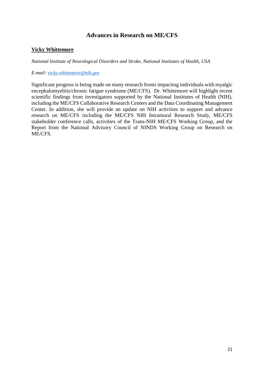## **Advances in Research on ME/CFS**

#### <span id="page-20-0"></span>**Vicky Whittemore**

*National Institute of Neurological Disorders and Stroke, National Institutes of Health, USA*

*E-mail: [vicky.whittemore@nih.gov](mailto:vicky.whittemore@nih.gov)*

Significant progress is being made on many research fronts impacting individuals with myalgic encephalomyelitis/chronic fatigue syndrome (ME/CFS). Dr. Whittemore will highlight recent scientific findings from investigators supported by the National Institutes of Health (NIH), including the ME/CFS Collaborative Research Centers and the Data Coordinating Management Center. In addition, she will provide an update on NIH activities to support and advance research on ME/CFS including the ME/CFS NIH Intramural Research Study, ME/CFS stakeholder conference calls, activities of the Trans-NIH ME/CFS Working Group, and the Report from the National Advisory Council of NINDS Working Group on Research on ME/CFS.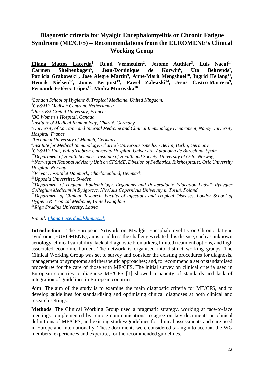## <span id="page-21-0"></span>**Diagnostic criteria for Myalgic Encephalomyelitis or Chronic Fatigue Syndrome (ME/CFS) – Recommendations from the EUROMENE's Clinical Working Group**

**Eliana Mattos Lacerda**<sup>1</sup>. *,* **Ruud Vermeulen**<sup>2</sup> **, Jerome Authier**<sup>3</sup> **, Luis Nacul**1,4 Carmen Sheibenbogen<sup>5</sup>, Jean-Dominique de Korwin<sup>6</sup>, Uta Behrends<sup>7</sup>, Patricia Grabowski<sup>8</sup>, Jose Alegre Martin<sup>9</sup>, Anne-Marit Mengshoel<sup>10</sup>, Ingrid Hellang<sup>11</sup>, Henrik Nielsen<sup>12</sup>, Jonas Berquist<sup>13</sup>, Pawel Zalewski<sup>14</sup>, Jesus Castro-Marrero<sup>9</sup>, Fernando Estévez-López<sup>15</sup>, Modra Murovska<sup>16</sup>

*1 London School of Hygiene & Tropical Medicine, United Kingdom; 2 CVS/ME Medisch Centrum, Netherlands; 3 Paris Est-Creteil University, France; 4 BC Women's Hospital, Canada. 5 Institute of Medical Immunology, Charité, Germany 6 University of Lorraine and Internal Medicine and Clinical Immunology Department, Nancy University Hospital, France 7 Technical University of Munich, Germany 8 Institute for Medical Immunology, Charite´-Universita¨tsmedizin Berlin, Berlin, Germany 9 CFS/ME Unit, Vall d'Hebron University Hospital, Universitat Autònoma de Barcelona, Spain 10Department of Health Sciences, Institute of Health and Society, University of Oslo, Norway, 11Norwegian National Advisory Unit on CFS/ME, Division of Pediatrics, Rikshospitalet, Oslo University Hospital, Norway 12Privat Hospitalet Danmark, Charlottenlund, Denmark 13Uppsala Universitet, Sweden 14Department of Hygiene, Epidemiology, Ergonomy and Postgraduate Education Ludwik Rydygier Collegium Medicum in Bydgoszcz, Nicolaus Copernicus University in Toruń, Poland 15Department of Clinical Research, Faculty of Infectious and Tropical Diseases, London School of Hygiene & Tropical Medicine, United Kingdom*

*<sup>16</sup>Riga Stradiņš University, Latvia*

*E-mail: [Eliana.Lacerda@lshtm.ac.uk](mailto:Eliana.Lacerda@lshtm.ac.uk)*

**Introduction**: The European Network on Myalgic Encephalomyelitis or Chronic fatigue syndrome (EUROMENE), aims to address the challenges related this disease, such as unknown aetiology, clinical variability, lack of diagnostic biomarkers, limited treatment options, and high associated economic burden. The network is organised into distinct working groups. The Clinical Working Group was set to survey and consider the existing procedures for diagnosis, management of symptoms and therapeutic approaches; and, to recommend a set of standardised procedures for the care of those with ME/CFS. The initial survey on clinical criteria used in European countries to diagnose ME/CFS [1] showed a paucity of standards and lack of integration of guidelines in European countries.

**Aim**: The aim of the study is to examine the main diagnostic criteria for ME/CFS, and to develop guidelines for standardising and optimising clinical diagnoses at both clinical and research settings.

**Methods**: The Clinical Working Group used a pragmatic strategy, working at face-to-face meetings complemented by remote communications to agree on key documents on clinical definitions of ME/CFS, and existing studies/guidelines for clinical assessments and care used in Europe and internationally. These documents were considered taking into account the WG members' experiences and expertise, for the recommended guidelines.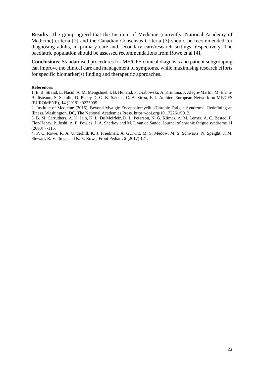**Results**: The group agreed that the Institute of Medicine (currently, National Academy of Medicine) criteria [2] and the Canadian Consensus Criteria [3] should be recommended for diagnosing adults, in primary care and secondary care/research settings, respectively. The paediatric population should be assessed recommendations from Rowe et al [4],

**Conclusions**: Standardised procedures for ME/CFS clinical diagnosis and patient subgrouping can improve the clinical care and management of symptoms, while maximising research efforts for specific biomarker(s) finding and therapeutic approaches.

#### **References:**

1. E. B. Strand, L. Nacul, A. M. Mengshoel, I. B. Helland, P. Grabowski, A. Krumina, J. Alegre-Martin, M. Efrim-Budisteanu, S. Sekulic, D. Pheby D, G. K. Sakkas, C. A. Sirbu, F. J. Authier, European Network on ME/CFS (EUROMENE), **14** (2019) e0225995.

2. Institute of Medicine (2015). Beyond Myalgic Encephalomyelitis/Chronic Fatigue Syndrome: Redefining an Illness. Washington, DC, The National Academies Press. https://doi.org/10.17226/19012.

3. B. M. Carruthers, A. K. Jain, K. L. De Meirleir, D. L. Peterson, N. G. Klimas, A. M. Lerner, A. C. Bested, P. Flor-Henry, P. Joshi, A. P. Powles, J. A. Sherkey and M. I. van de Sande, Journal of chronic fatigue syndrome **11** (2003) 7-115.

<span id="page-22-0"></span>4. P. C. Rowe, R. A. Underhill, K. J. Friedman, A. Gurwitt, M. S. Medow, M. S. Schwartz, N. Speight, J. M. Stewart, R. Vallings and K. S. Rowe, Front Pediatr, **5** (2017) 121.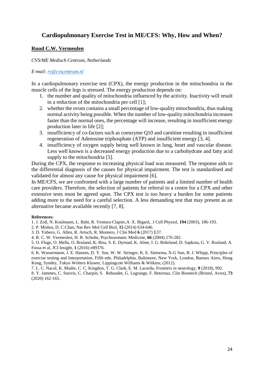## **Cardiopulmonary Exercise Test in ME/CFS: Why, How and When?**

#### **Ruud C.W. Vermeulen**

#### *CVS/ME Medisch Centrum, Netherlands*

#### *E-mail: [rv@cvscentrum.nl](mailto:rv@cvscentrum.nl)*

In a cardiopulmonary exercise test (CPX), the energy production in the mitochondria in the muscle cells of the legs is stressed. The energy production depends on:

- 1. the number and quality of mitochondria influenced by the activity. Inactivity will result in a reduction of the mitochondria per cell [1];
- 2. whether the ovum contains a small percentage of low-quality mitochondria, thus making normal activity being possible. When the number of low-quality mitochondria increases faster than the normal ones, the percentage will increase, resulting in insufficient energy production later in life [2];
- 3. insufficiency of co-factors such as coenzyme Q10 and carnitine resulting in insufficient regeneration of Adenosine triphosphate (ATP) and insufficient energy [3, 4].
- 4. insufficiency of oxygen supply being well known in lung, heart and vascular disease. Less well known is a decreased energy production due to a carbohydrate and fatty acid supply to the mitochondria [5].

During the CPX, the response to increasing physical load was measured. The response aids to the differential diagnosis of the causes for physical impairment. The test is standardised and validated for almost any cause for physical impairment [6].

In ME/CFS, we are confronted with a large number of patients and a limited number of health care providers. Therefore, the selection of patients for referral to a centre for a CPX and other extensive tests must be agreed upon. The CPX test is too heavy a burden for some patients adding more to the need for a careful selection. A less demanding test that may present as an alternative became available recently [7, 8].

#### **References:**

1. J. Zoll, N. Koulmann, L. Bahi, R. Ventura-Clapier,A .X. Bigard,. J Cell Physiol, **194** (2003), 186-193.

2. P. Mishra, D. C.Chan, Nat Rev Mol Cell Biol, **15** (2014) 634-646.

3. D. Yubero, G. Allen, R. Artuch, R. Montero, J Clin Med **6** (2017) E37.

4. R. C. W. Vermeulen, H. R. Scholte, Psychosomatic Medicine, **66** (2004) 276-282.

5. O. Fluge, O. Mella, O. Bruland, K. Risa, S. E. Dyrstad, K. Alme, I. G. Rekeland, D. Sapkota, G. V. Rosland, A. Fossa et al, JCI Insight, **1** (2016) e89376.

6. K. Wassermann, J. E. Hansen, D. Y. Sue, W. W. Stringer, K. E. Sietsema, X-G Sun, B. J. Whipp, Principles of exercise testing and Interpretation, Fifth edn. Philadelphia, Baltimore, New York, London, Buenos Aires, Hong Kong, Syndey, Tokyo Wolters Kluwer, Lippingcott Williams & Wilkins; (2012).

7. L. C. Nacul, K. Mudie, C. C. Kingdon, T. G. Clark, E. M. Lacerda, Frontiers in neurology, **9** (2018), 992. 8. Y. Jammes, C. Stavris, C. Charpin, S. Rebaudet, G. Lagrange, F. Retornaz, Clin Biomech (Bristol, Avon), **73** (2020) 162-165.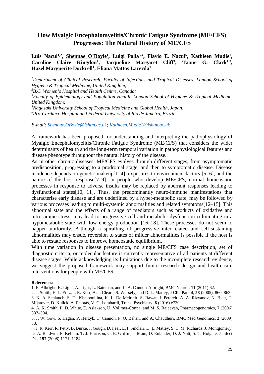## <span id="page-24-0"></span>**How Myalgic Encephalomyelitis/Chronic Fatigue Syndrome (ME/CFS) Progresses: The Natural History of ME/CFS**

#### Luis Nacul<sup>1,2</sup>, Shennae O'Boyle<sup>1</sup>, Luigi Palla<sup>3,4</sup>, Flavio E. Nacul<sup>5</sup>, Kathleen Mudie<sup>1</sup>, Caroline Claire Kingdon<sup>1</sup>, Jacqueline Margaret Cliff<sup>1</sup>, Taane G. Clark<sup>1,3</sup>, **Hazel Marguerite Dockrell1, Eliana Mattos Lacerda1**

*1 Department of Clinical Research, Faculty of Infectious and Tropical Diseases, London School of Hygiene & Tropical Medicine, United Kingdom;* 

*2 B.C. Women's Hospital and Health Centre, Canada;* 

*3 Faculty of Epidemiology and Population Health, London School of Hygiene & Tropical Medicine, United Kingdom;* 

*4 Nagasaki University School of Tropical Medicine and Global Health, Japan; 5 Pro-Cardiaco Hospital and Federal University of Rio de Janeiro, Brazil*

*E-mail: [Shennae.OBoyle@lshtm.ac.uk;](mailto:Shennae.OBoyle@lshtm.ac.uk) [Kathleen.Mudie1@lshtm.ac.uk](mailto:Kathleen.Mudie1@lshtm.ac.uk)*

A framework has been proposed for understanding and interpreting the pathophysiology of Myalgic Encephalomyelitis/Chronic Fatigue Syndrome (ME/CFS) that considers the wider determinants of health and the long-term temporal variation in pathophysiological features and disease phenotype throughout the natural history of the disease.

As in other chronic diseases, ME/CFS evolves through different stages, from asymptomatic predisposition, progressing to a prodromal stage, and then to symptomatic disease. Disease incidence depends on genetic makeup[1–4], exposures to environment factors [5, 6], and the nature of the host response[7–9]. In people who develop ME/CFS, normal homeostatic processes in response to adverse insults may be replaced by aberrant responses leading to dysfunctional states[10, 11]. Thus, the predominantly neuro-immune manifestations that characterise early disease and are underlined by a hyper-metabolic state, may be followed by various processes leading to multi-systemic abnormalities and related symptoms[12–15]. This abnormal state and the effects of a range of mediators such as products of oxidative and nitrosamine stress, may lead to progressive cell and metabolic dysfunction culminating in a hypometabolic state with low energy production [16–18]. These processes do not seem to happen uniformly. Although a spiralling of progressive inter-related and self-sustaining abnormalities may ensue, reversion to states of milder abnormalities is possible if the host is able to restate responses to improve homeostatic equilibrium.

With time variation in disease presentation, no single ME/CFS case description, set of diagnostic criteria, or molecular feature is currently representative of all patients at different disease stages. While acknowledging its limitations due to the incomplete research evidence, we suggest the proposed framework may support future research design and health care interventions for people with ME/CFS.

#### **References:**

1. F. Albright, K. Light, A. Light, L. Bateman, and L. A. Cannon-Albright, BMC Neurol, **11** (2011) 62.

2. J. Smith, E. L. Fritz, J. R. Kerr, A. J. Cleare, S. Wessely, and D. L. Mattey, J Clin Pathol, **58** (2005), 860–863.

3. K. A. Schlauch, S. F. Khaiboullina, K. L. De Meirleir, S. Rawat, J. Petereit, A. A. Rizvanov, N. Blatt, T. Mijatovic, D. Kulick, A. Palotás, V. C. Lombardi, Transl Psychiatry, **6** (2016) e730.

5. J. W. Gow, S. Hagan, P. Herzyk, C. Cannon, P. O. Behan, and A. Chaudhuri, BMC Med Genomics, **2** (2009) 38.

6. J. R. Kerr, R. Petty, B. Burke, J. Gough, D. Fear, L. I. Sinclair, D. L. Mattey, S. C. M. Richards, J. Montgomery, D. A. Baldwin, P. Kellam, T. J. Harrison, G. E. Griffin, J. Main, D. Enlander, D. J. Nutt, S. T. Holgate, J Infect Dis, **197** (2008) 1171–1184.

<sup>4.</sup> A. K. Smith, P. D. White, E. Aslakson, U. Vollmer-Conna, and M. S. Rajeevan, Pharmacogenomics, **7** (2006) 387–394.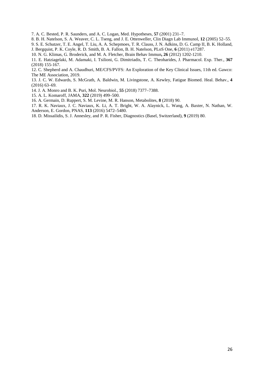7. A. C. Bested, P. R. Saunders, and A. C. Logan, Med. Hypotheses, **57** (2001) 231–7.

8. B. H. Natelson, S. A. Weaver, C. L. Tseng, and J. E. Ottenweller, Clin Diagn Lab Immunol, **12** (2005) 52–55.

9. S. E. Schutzer, T. E. Angel, T. Liu, A. A. Schepmoes, T. R. Clauss, J. N. Adkins, D. G. Camp II, B. K. Holland,

J. Bergquist, P. K. Coyle, R. D. Smith, B. A. Fallon, B. H. Natelson, PLoS One, **6** (2011) e17287.

10. N. G. Klimas, G. Broderick, and M. A. Fletcher, Brain Behav Immun**, 26** (2012) 1202-1210.

11. E. Hatziagelaki, M. Adamaki, I. Tsilioni, G. Dimitriadis, T. C. Theoharides, J. Pharmacol. Exp. Ther., **367** (2018) 155-167.

12. C. Shepherd and A. Chaudhuri, ME/CFS/PVFS: An Exploration of the Key Clinical Issues, 11th ed. Gawco: The ME Association, 2019.

13. J. C. W. Edwards, S. McGrath, A. Baldwin, M. Livingstone, A. Kewley, Fatigue Biomed. Heal. Behav., **4** (2016) 63–69.

14. J. A. Monro and B. K. Puri, Mol. Neurobiol., **55** (2018) 7377–7388.

15. A. L. Komaroff, JAMA, **322** (2019) 499–500.

16. A. Germain, D. Ruppert, S. M. Levine, M. R. Hanson, Metabolites, **8** (2018) 90.

17. R. K. Naviaux, J. C. Naviaux, K. Li, A. T. Bright, W. A. Alaynick, L. Wang, A. Baxter, N. Nathan, W. Anderson, E. Gordon, PNAS, **113** (2016) 5472–5480.

18. D. Missailidis, S. J. Annesley, and P. R. Fisher, Diagnostics (Basel, Switzerland), **9** (2019) 80.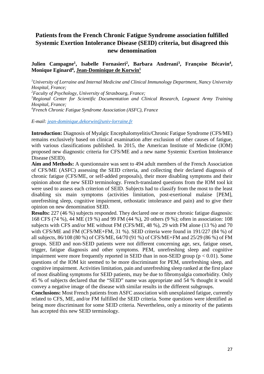## <span id="page-26-0"></span>**Patients from the French Chronic Fatigue Syndrome association fulfilled Systemic Exertion Intolerance Disease (SEID) criteria, but disagreed this new denomination**

#### Julien Campagne<sup>1</sup>, Isabelle Fornasieri<sup>2</sup>, Barbara Andreani<sup>3</sup>, Françoise Bécavin<sup>4</sup>, **Monique Eginard4, Jean-Dominique de Korwin1**

*1 University of Lorraine and Internal Medicine and Clinical Immunology Department, Nancy University Hospital, France; 2 Faculty of Psychology, University of Strasbourg, France; 3 Regional Center for Scientific Documentation and Clinical Research, Legouest Army Training Hospital, France;*

*4 French Chronic Fatigue Syndrome Association (ASFC), France* 

*E-mail: [jean-dominique.dekorwin@univ-lorraine.fr](mailto:jean-dominique.dekorwin@univ-lorraine.fr)*

**Introduction:** Diagnosis of Myalgic Encephalomyelitis/Chronic Fatigue Syndrome (CFS/ME) remains exclusively based on clinical examination after exclusion of other causes of fatigue, with various classifications published. In 2015, the American Institute of Medicine (IOM) proposed new diagnostic criteria for CFS/ME and a new name Systemic Exertion Intolerance Disease (SEID).

**Aim and Methods:** A questionnaire was sent to 494 adult members of the French Association of CFS/ME (ASFC) assessing the SEID criteria, and collecting their declared diagnosis of chronic fatigue (CFS/ME, or self-added proposals), their more disabling symptoms and their opinion about the new SEID terminology. French-translated questions from the IOM tool kit were used to assess each criterion of SEID. Subjects had to classify from the most to the least disabling six main symptoms (activities limitation, post-exertional malaise [PEM], unrefreshing sleep, cognitive impairment, orthostatic intolerance and pain) and to give their opinion on new denomination SEID.

**Results:** 227 (46 %) subjects responded. They declared one or more chronic fatigue diagnosis: 168 CFS (74 %), 44 ME (19 %) and 99 FM (44 %), 20 others (9 %); often in association: 108 subjects with CFS and/or ME without FM (CFS/ME, 48 %), 29 with FM alone (13 %) and 70 with CFS/ME and FM (CFS/ME+FM, 31 %). SEID criteria were found in 191/227 (84 %) of all subjects, 86/108 (80 %) of CFS/ME, 64/70 (91 %) of CFS/ME+FM and 25/29 (86 %) of FM groups. SEID and non-SEID patients were not different concerning age, sex, fatigue onset, trigger, fatigue diagnosis and other symptoms. PEM, unrefreshing sleep and cognitive impairment were more frequently reported in SEID than in non-SEID group ( $p < 0.01$ ). Some questions of the IOM kit seemed to be more discriminant for PEM, unrefreshing sleep, and cognitive impairment. Activities limitation, pain and unrefreshing sleep ranked at the first place of most disabling symptoms for SEID patients, may be due to fibromyalgia comorbidity. Only 45 % of subjects declared that the "SEID" name was appropriate and 54 % thought it would convey a negative image of the disease with similar results in the different subgroups.

**Conclusions:** Most French patients from ASFC association with unexplained fatigue, currently related to CFS, ME, and/or FM fulfilled the SEID criteria. Some questions were identified as being more discriminant for some SEID criteria. Nevertheless, only a minority of the patients has accepted this new SEID terminology.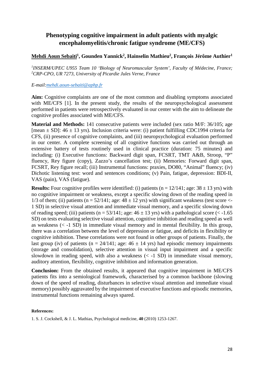## <span id="page-27-0"></span>**Phenotyping cognitive impairment in adult patients with myalgic encephalomyelitis/chronic fatigue syndrome (ME/CFS)**

#### **Mehdi Aoun Sebaiti1, Gounden Yannick2, Hainselin Mathieu2, François Jérôme Authier1**

*1 INSERM/UPEC U955 Team 10 'Biology of Neuromuscular System', Faculty of Médecine, France; 2 CRP-CPO, UR 7273, University of Picardie Jules Verne, France*

#### *E-mail:mehdi.aoun-sebaiti@aphp.fr*

**Aim:** Cognitive complaints are one of the most common and disabling symptoms associated with ME/CFS [1]. In the present study, the results of the neuropsychological assessment performed in patients were retrospectively evaluated in our center with the aim to delineate the cognitive profiles associated with ME/CFS.

**Material and Methods:** 141 consecutive patients were included (sex ratio M/F: 36/105; age [mean  $\pm$  SD]: 46  $\pm$  13 yrs). Inclusion criteria were: (i) patient fulfilling CDC1994 criteria for CFS, (ii) presence of cognitive complaints, and (iii) neuropsychological evaluation performed in our center. A complete screening of all cognitive functions was carried out through an extensive battery of tests routinely used in clinical practice (duration: 75 minutes) and including: (i) Executive functions: Backward digit span, FCSRT, TMT A&B, Stroop, "P" fluency, Rey figure (copy), Zazzo's cancellation test; (ii) Memories: Forward digit span, FCSRT, Rey figure recall; (iii) Instrumental functions: praxies, DO80, "Animal" fluency; (iv) Dichotic listening test: word and sentences conditions; (v) Pain, fatigue, depression: BDI-II, VAS (pain), VAS (fatigue).

**Results:** Four cognitive profiles were identified: (i) patients ( $n = 12/141$ ; age:  $38 \pm 13$  yrs) with no cognitive impairment or weakness, except a specific slowing down of the reading speed in 1/3 of them; (ii) patients (n =  $52/141$ ; age:  $48 \pm 12$  yrs) with significant weakness (test score <-1 SD) in selective visual attention and immediate visual memory, and a specific slowing down of reading speed; (iii) patients (n = 53/141; age:  $46 \pm 13$  yrs) with a pathological score (< -1.65 SD) on tests evaluating selective visual attention, cognitive inhibition and reading speed as well as weakness (< -1 SD) in immediate visual memory and in mental flexibility. In this group, there was a correlation between the level of depression or fatigue, and deficits in flexibility or cognitive inhibition. These correlations were not found in other groups of patients. Finally, the last group (iv) of patients (n =  $24/141$ ; age:  $46 \pm 14$  yrs) had episodic memory impairments (storage and consolidation), selective attention in visual input impairment and a specific slowdown in reading speed, with also a weakness  $(< -1 SD$ ) in immediate visual memory, auditory attention, flexibility, cognitive inhibition and information generation.

**Conclusion:** From the obtained results, it appeared that cognitive impairment in ME/CFS patients fits into a semiological framework, characterised by a common backbone (slowing down of the speed of reading, disturbances in selective visual attention and immediate visual memory) possibly aggravated by the impairment of executive functions and episodic memories, instrumental functions remaining always spared.

#### **References:**

1. S. J. Cockshell, & J. L. Mathias, Psychological medicine, **40** (2010) 1253-1267.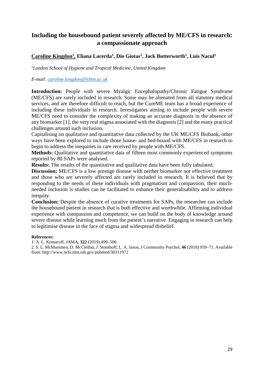## <span id="page-28-0"></span>**Including the housebound patient severely affected by ME/CFS in research: a compassionate approach**

#### Caroline Kingdon<sup>1</sup>, Eliana Lacerda<sup>1</sup>, Dio Giotas<sup>1</sup>, Jack Butterworth<sup>1</sup>, Luis Nacul<sup>1</sup>

1 *London School of Hygiene and Tropical Medicine, United Kingdom*

#### *E-mail: [caroline.kingdon@lshtm.ac.uk](mailto:caroline.kingdon@lshtm.ac.uk)*

**Introduction:** People with severe Myalgic Encephalopathy/Chronic Fatigue Syndrome (ME/CFS) are rarely included in research. Some may be alienated from all statutory medical services, and are therefore difficult to reach, but the CureME team has a broad experience of including these individuals in research. Investigators aiming to include people with severe ME/CFS need to consider the complexity of making an accurate diagnosis in the absence of any biomarker [1], the very real stigma associated with the diagnosis [2] and the many practical challenges around such inclusion.

Capitalising on qualitative and quantitative data collected by the UK ME/CFS Biobank, other ways have been explored to include those house- and bed-bound with ME/CFS in research to begin to address the inequities in care received by people with ME/CFS.

**Methods:** Qualitative and quantitative data of fifteen most commonly experienced symptoms reported by 80 SAPs were analysed.

**Results:** The results of the quantitative and qualitative data have been fully tabulated.

**Discussion:** ME/CFS is a low prestige disease with neither biomarker nor effective treatment and those who are severely affected are rarely included in research. It is believed that by responding to the needs of these individuals with pragmatism and compassion, their muchneeded inclusion is studies can be facilitated to enhance their generalisability and to address inequity.

**Conclusion:** Despite the absence of curative treatments for SAPs, the researcher can include the housebound patient in research that is both effective and worthwhile. Affirming individual experience with compassion and competence, we can build on the body of knowledge around severe disease while learning much from the patient's narrative. Engaging in research can help to legitimise disease in the face of stigma and widespread disbelief.

#### **References:**

1. A. L. Komaroff, JAMA, **322** (2019) 499–500.

2. S. L. McManimen, D. McClellan, J. Stoothoff, L. A. Jason, J Community Psychol, **46** (2018) 959–71. Available from: http://www.ncbi.nlm.nih.gov/pubmed/30311972